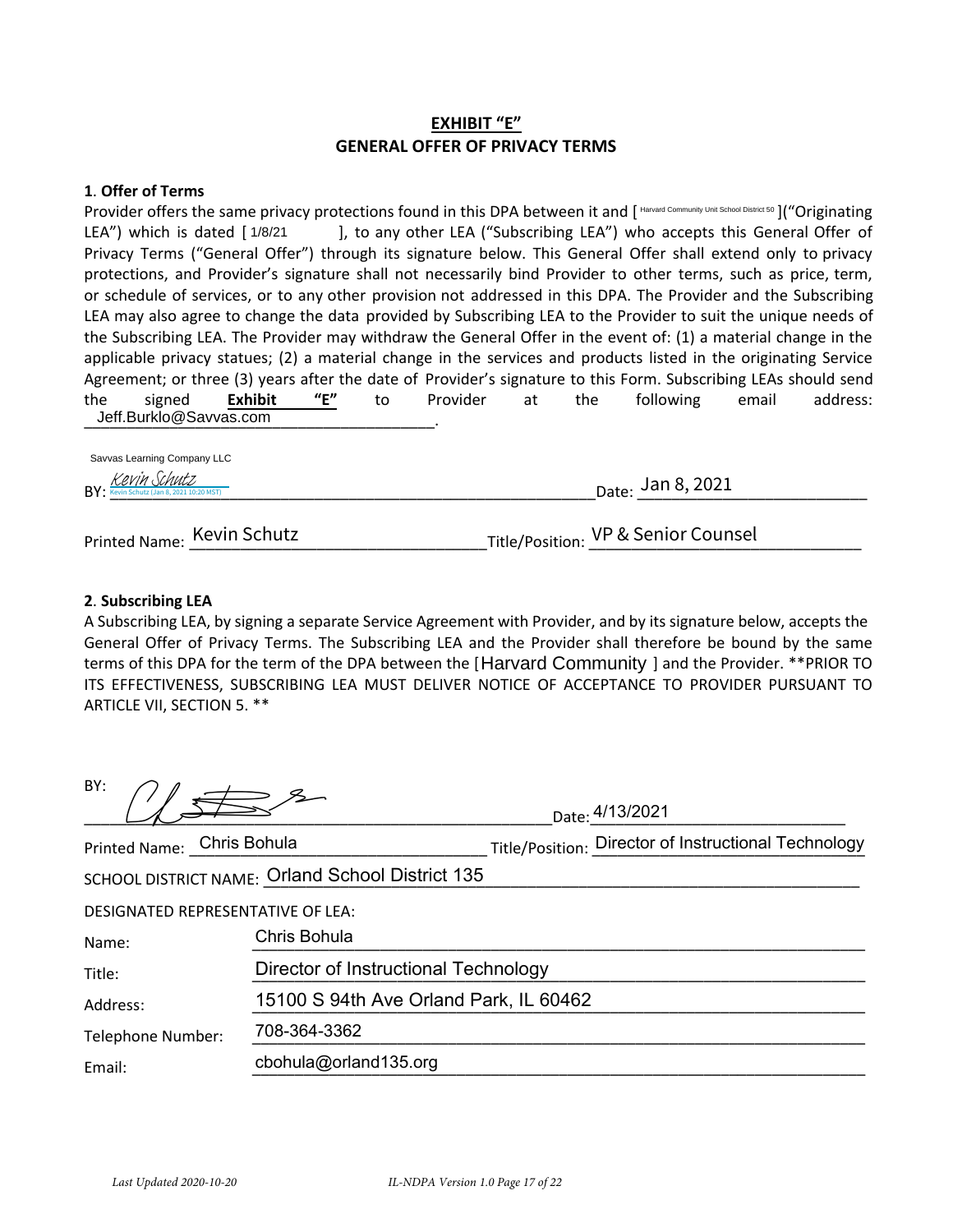## **EXHIBIT "E" GENERAL OFFER OF PRIVACY TERMS**

#### **1**. **Offer of Terms**

Provider offers the same privacy protections found in this DPA between it and [Harvard Community Unit School District 50]("Originating LEA") which is dated [1/8/21  $\qquad$ ], to any other LEA ("Subscribing LEA") who accepts this General Offer of Privacy Terms ("General Offer") through its signature below. This General Offer shall extend only to privacy protections, and Provider's signature shall not necessarily bind Provider to other terms, such as price, term, or schedule of services, or to any other provision not addressed in this DPA. The Provider and the Subscribing LEA may also agree to change the data provided by Subscribing LEA to the Provider to suit the unique needs of the Subscribing LEA. The Provider may withdraw the General Offer in the event of: (1) a material change in the applicable privacy statues; (2) a material change in the services and products listed in the originating Service Agreement; or three (3) years after the date of Provider's signature to this Form. Subscribing LEAs should send the signed **Exhibit "E"** to Provider at the following email address: Jeff.Burklo@Savvas.com Farvard Community Internation Community Internation Community International Community Internations, and Provider School District School District School District School District School District School District School Distri

| .<br>$BY:$ $\frac{Kevin Schutz}{Kevin Schutz(Jan 8, 2021 10:20 MST)}$ | <sub>Date:</sub> Jan 8, 2021 |
|-----------------------------------------------------------------------|------------------------------|
|                                                                       |                              |

# Printed Name: \_\_\_\_\_\_\_\_\_\_\_\_\_\_\_\_\_\_\_\_\_\_\_\_\_\_\_\_\_\_\_\_\_\_\_Title/Position: \_\_\_\_\_\_\_\_\_\_\_\_\_\_\_\_\_\_\_\_\_\_\_\_\_\_\_\_\_\_\_\_ Kevin Schutz VP & Senior Counsel

#### **2**. **Subscribing LEA**

A Subscribing LEA, by signing a separate Service Agreement with Provider, and by its signature below, accepts the General Offer of Privacy Terms. The Subscribing LEA and the Provider shall therefore be bound by the same terms of this DPA for the term of the DPA between the [Harvard Community ] and the Provider. \*\*PRIOR TO ITS EFFECTIVENESS, SUBSCRIBING LEA MUST DELIVER NOTICE OF ACCEPTANCE TO PROVIDER PURSUANT TO ARTICLE VII, SECTION 5. \*\*

| BY:                                              | Date: 4/13/2021                                      |  |
|--------------------------------------------------|------------------------------------------------------|--|
| Printed Name: Chris Bohula                       | Title/Position: Director of Instructional Technology |  |
| SCHOOL DISTRICT NAME: Orland School District 135 |                                                      |  |
| <b>DESIGNATED REPRESENTATIVE OF LEA:</b>         |                                                      |  |
| Chris Bohula<br>Name:                            |                                                      |  |
| Director of Instructional Technology<br>Title:   |                                                      |  |
| Address:                                         | 15100 S 94th Ave Orland Park, IL 60462               |  |
| 708-364-3362<br>Telephone Number:                |                                                      |  |
| cbohula@orland135.org<br>Email:                  |                                                      |  |